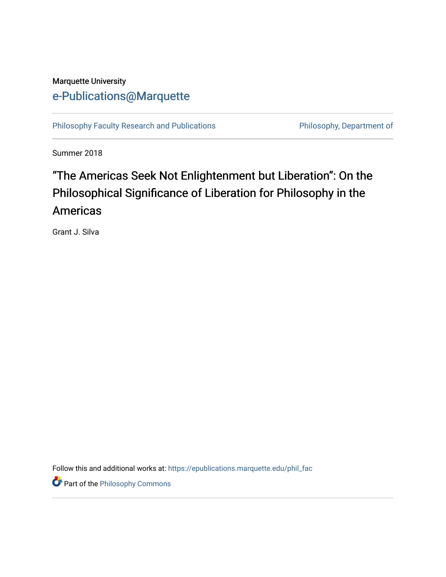#### Marquette University [e-Publications@Marquette](https://epublications.marquette.edu/)

[Philosophy Faculty Research and Publications](https://epublications.marquette.edu/phil_fac) **Philosophy, Department of** 

Summer 2018

## "The Americas Seek Not Enlightenment but Liberation": On the Philosophical Significance of Liberation for Philosophy in the Americas

Grant J. Silva

Follow this and additional works at: [https://epublications.marquette.edu/phil\\_fac](https://epublications.marquette.edu/phil_fac?utm_source=epublications.marquette.edu%2Fphil_fac%2F775&utm_medium=PDF&utm_campaign=PDFCoverPages)

**Part of the Philosophy Commons**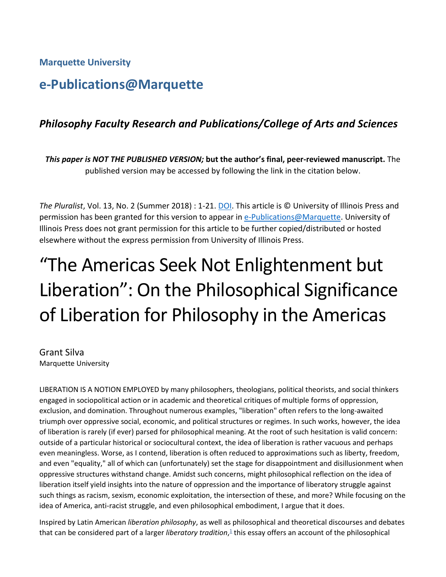**Marquette University**

### **e-Publications@Marquette**

#### *Philosophy Faculty Research and Publications/College of Arts and Sciences*

*This paper is NOT THE PUBLISHED VERSION;* **but the author's final, peer-reviewed manuscript.** The published version may be accessed by following the link in the citation below.

*The Pluralist*, Vol. 13, No. 2 (Summer 2018) : 1-21[. DOI.](https://www.jstor.org/stable/10.5406/pluralist.13.2.0001?seq=1#page_scan_tab_contents) This article is © University of Illinois Press and permission has been granted for this version to appear in [e-Publications@Marquette.](http://epublications.marquette.edu/) University of Illinois Press does not grant permission for this article to be further copied/distributed or hosted elsewhere without the express permission from University of Illinois Press.

# "The Americas Seek Not Enlightenment but Liberation": On the Philosophical Significance of Liberation for Philosophy in the Americas

Grant Silva Marquette University

LIBERATION IS A NOTION EMPLOYED by many philosophers, theologians, political theorists, and social thinkers engaged in sociopolitical action or in academic and theoretical critiques of multiple forms of oppression, exclusion, and domination. Throughout numerous examples, "liberation" often refers to the long-awaited triumph over oppressive social, economic, and political structures or regimes. In such works, however, the idea of liberation is rarely (if ever) parsed for philosophical meaning. At the root of such hesitation is valid concern: outside of a particular historical or sociocultural context, the idea of liberation is rather vacuous and perhaps even meaningless. Worse, as I contend, liberation is often reduced to approximations such as liberty, freedom, and even "equality," all of which can (unfortunately) set the stage for disappointment and disillusionment when oppressive structures withstand change. Amidst such concerns, might philosophical reflection on the idea of liberation itself yield insights into the nature of oppression and the importance of liberatory struggle against such things as racism, sexism, economic exploitation, the intersection of these, and more? While focusing on the idea of America, anti-racist struggle, and even philosophical embodiment, I argue that it does.

Inspired by Latin American *liberation philosophy*, as well as philosophical and theoretical discourses and debates that can be considered part of a larger *liberatory tradition*[,](https://muse.jhu.edu/article/696882#f1)<sup>1</sup> this essay offers an account of the philosophical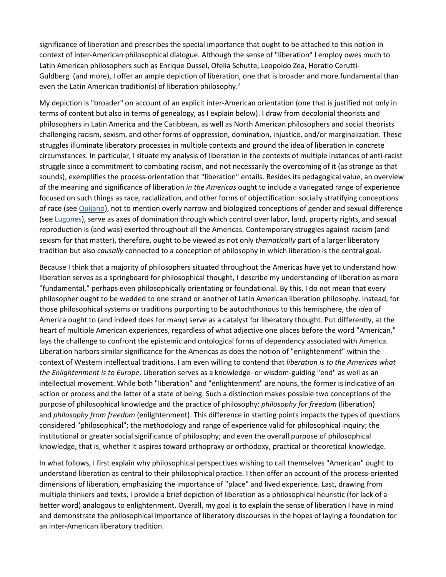significance of liberation and prescribes the special importance that ought to be attached to this notion in context of inter-American philosophical dialogue. Although the sense of "liberation" I employ owes much to Latin American philosophers such as Enrique Dussel, Ofelia Schutte, Leopoldo Zea, Horatio Cerutti-Guldberg (and more), I offer an ample depiction of liberation, one that is broader and more fundamental than even the Latin American tradition(s) of liberation philosophy.<sup>2</sup>

My depiction is "broader" on account of an explicit inter-American orientation (one that is justified not only in terms of content but also in terms of genealogy, as I explain below). I draw from decolonial theorists and philosophers in Latin America and the Caribbean, as well as North American philosophers and social theorists challenging racism, sexism, and other forms of oppression, domination, injustice, and/or marginalization. These struggles illuminate liberatory processes in multiple contexts and ground the idea of liberation in concrete circumstances. In particular, I situate my analysis of liberation in the contexts of multiple instances of anti-racist struggle since a commitment to combating racism, and not necessarily the overcoming of it (as strange as that sounds), exemplifies the process-orientation that "liberation" entails. Besides its pedagogical value, an overview of the meaning and significance of liberation *in the Americas* ought to include a variegated range of experience focused on such things as race, racialization, and other forms of objectification: socially stratifying conceptions of race (see [Quijano\)](https://muse.jhu.edu/article/696882#b40), not to mention overly narrow and biologized conceptions of gender and sexual difference (see [Lugones\)](https://muse.jhu.edu/article/696882#b24), serve as axes of domination through which control over labor, land, property rights, and sexual reproduction is (and was) exerted throughout all the Americas. Contemporary struggles against racism (and sexism for that matter), therefore, ought to be viewed as not only *thematically* part of a larger liberatory tradition but also *causally* connected to a conception of philosophy in which liberation is the central goal.

Because I think that a majority of philosophers situated throughout the Americas have yet to understand how liberation serves as a springboard for philosophical thought, I describe my understanding of liberation as more "fundamental," perhaps even philosophically orientating or foundational. By this, I do not mean that every philosopher ought to be wedded to one strand or another of Latin American liberation philosophy. Instead, for those philosophical systems or traditions purporting to be autochthonous to this hemisphere, the *idea* of America ought to (and indeed does for many) serve as a catalyst for liberatory thought. Put differently, at the heart of multiple American experiences, regardless of what adjective one places before the word "American," lays the challenge to confront the epistemic and ontological forms of dependency associated with America. Liberation harbors similar significance for the Americas as does the notion of "enlightenment" within the context of Western intellectual traditions. I am even willing to contend that *liberation is to the Americas what the Enlightenment is to Europe*. Liberation serves as a knowledge- or wisdom-guiding "end" as well as an intellectual movement. While both "liberation" and "enlightenment" are nouns, the former is indicative of an action or process and the latter of a state of being. Such a distinction makes possible two conceptions of the purpose of philosophical knowledge and the practice of philosophy: *philosophy for freedom* (liberation) and *philosophy from freedom* (enlightenment). This difference in starting points impacts the types of questions considered "philosophical"; the methodology and range of experience valid for philosophical inquiry; the institutional or greater social significance of philosophy; and even the overall purpose of philosophical knowledge, that is, whether it aspires toward orthopraxy or orthodoxy, practical or theoretical knowledge.

In what follows, I first explain why philosophical perspectives wishing to call themselves "American" ought to understand liberation as central to their philosophical practice. I then offer an account of the process-oriented dimensions of liberation, emphasizing the importance of "place" and lived experience. Last, drawing from multiple thinkers and texts, I provide a brief depiction of liberation as a philosophical heuristic (for lack of a better word) analogous to enlightenment. Overall, my goal is to explain the sense of liberation I have in mind and demonstrate the philosophical importance of liberatory discourses in the hopes of laying a foundation for an inter-American liberatory tradition.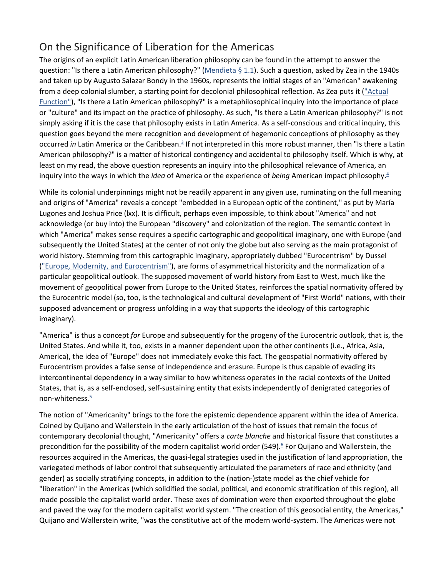#### On the Significance of Liberation for the Americas

The origins of an explicit Latin American liberation philosophy can be found in the attempt to answer the question: "Is there a Latin American philosophy?" [\(Mendieta § 1.1\)](https://muse.jhu.edu/article/696882#b7). Such a question, asked by Zea in the 1940s and taken up by Augusto Salazar Bondy in the 1960s, represents the initial stages of an "American" awakening from a deep colonial slumber, a starting point for decolonial philosophical reflection. As Zea puts it ("Actual [Function"\)](https://muse.jhu.edu/article/696882#b3), "Is there a Latin American philosophy?" is a metaphilosophical inquiry into the importance of place or "culture" and its impact on the practice of philosophy. As such, "Is there a Latin American philosophy?" is not simply asking if it is the case that philosophy exists in Latin America. As a self-conscious and critical inquiry, this question goes beyond the mere recognition and development of hegemonic conceptions of philosophy as they occurred *in* Latin America or the Caribbean.<sup>3</sup> If not interpreted in this more robust manner, then "Is there a Latin American philosophy?" is a matter of historical contingency and accidental to philosophy itself. Which is why, at least on my read, the above question represents an inquiry into the philosophical relevance of America, an inquiry into the ways in which the *idea* of America or the experience of *being* American impact philosophy[.4](https://muse.jhu.edu/article/696882#f4)

While its colonial underpinnings might not be readily apparent in any given use, ruminating on the full meaning and origins of "America" reveals a concept "embedded in a European optic of the continent," as put by María Lugones and Joshua Price (lxx). It is difficult, perhaps even impossible, to think about "America" and not acknowledge (or buy into) the European "discovery" and colonization of the region. The semantic context in which "America" makes sense requires a specific cartographic and geopolitical imaginary, one with Europe (and subsequently the United States) at the center of not only the globe but also serving as the main protagonist of world history. Stemming from this cartographic imaginary, appropriately dubbed "Eurocentrism" by Dussel [\("Europe, Modernity, and Eurocentrism"\)](https://muse.jhu.edu/article/696882#b8), are forms of asymmetrical historicity and the normalization of a particular geopolitical outlook. The supposed movement of world history from East to West, much like the movement of geopolitical power from Europe to the United States, reinforces the spatial normativity offered by the Eurocentric model (so, too, is the technological and cultural development of "First World" nations, with their supposed advancement or progress unfolding in a way that supports the ideology of this cartographic imaginary).

"America" is thus a concept *for* Europe and subsequently for the progeny of the Eurocentric outlook, that is, the United States. And while it, too, exists in a manner dependent upon the other continents (i.e., Africa, Asia, America), the idea of "Europe" does not immediately evoke this fact. The geospatial normativity offered by Eurocentrism provides a false sense of independence and erasure. Europe is thus capable of evading its intercontinental dependency in a way similar to how whiteness operates in the racial contexts of the United States, that is, as a self-enclosed, self-sustaining entity that exists independently of denigrated categories of non-whiteness. $\frac{5}{2}$ 

The notion of "Americanity" brings to the fore the epistemic dependence apparent within the idea of America. Coined by Quijano and Wallerstein in the early articulation of the host of issues that remain the focus of contemporary decolonial thought, "Americanity" offers a *carte blanche* and historical fissure that constitutes a precondition for the possibility of the modern capitalist world order (549).<sup>6</sup> For Quijano and Wallerstein, the resources acquired in the Americas, the quasi-legal strategies used in the justification of land appropriation, the variegated methods of labor control that subsequently articulated the parameters of race and ethnicity (and gender) as socially stratifying concepts, in addition to the (nation-)state model as the chief vehicle for "liberation" in the Americas (which solidified the social, political, and economic stratification of this region), all made possible the capitalist world order. These axes of domination were then exported throughout the globe and paved the way for the modern capitalist world system. "The creation of this geosocial entity, the Americas," Quijano and Wallerstein write, "was the constitutive act of the modern world-system. The Americas were not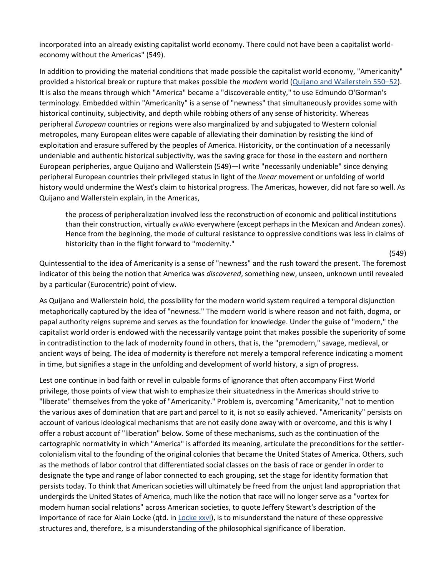incorporated into an already existing capitalist world economy. There could not have been a capitalist worldeconomy without the Americas" (549).

In addition to providing the material conditions that made possible the capitalist world economy, "Americanity" provided a historical break or rupture that makes possible the *modern* world [\(Quijano and Wallerstein 550–52\)](https://muse.jhu.edu/article/696882#b40). It is also the means through which "America" became a "discoverable entity," to use Edmundo O'Gorman's terminology. Embedded within "Americanity" is a sense of "newness" that simultaneously provides some with historical continuity, subjectivity, and depth while robbing others of any sense of historicity. Whereas peripheral *European* countries or regions were also marginalized by and subjugated to Western colonial metropoles, many European elites were capable of alleviating their domination by resisting the kind of exploitation and erasure suffered by the peoples of America. Historicity, or the continuation of a necessarily undeniable and authentic historical subjectivity, was the saving grace for those in the eastern and northern European peripheries, argue Quijano and Wallerstein (549)—I write "necessarily undeniable" since denying peripheral European countries their privileged status in light of the *linear* movement or unfolding of world history would undermine the West's claim to historical progress. The Americas, however, did not fare so well. As Quijano and Wallerstein explain, in the Americas,

the process of peripheralization involved less the reconstruction of economic and political institutions than their construction, virtually *ex nihilo* everywhere (except perhaps in the Mexican and Andean zones). Hence from the beginning, the mode of cultural resistance to oppressive conditions was less in claims of historicity than in the flight forward to "modernity."

(549)

Quintessential to the idea of Americanity is a sense of "newness" and the rush toward the present. The foremost indicator of this being the notion that America was *discovered*, something new, unseen, unknown until revealed by a particular (Eurocentric) point of view.

As Quijano and Wallerstein hold, the possibility for the modern world system required a temporal disjunction metaphorically captured by the idea of "newness." The modern world is where reason and not faith, dogma, or papal authority reigns supreme and serves as the foundation for knowledge. Under the guise of "modern," the capitalist world order is endowed with the necessarily vantage point that makes possible the superiority of some in contradistinction to the lack of modernity found in others, that is, the "premodern," savage, medieval, or ancient ways of being. The idea of modernity is therefore not merely a temporal reference indicating a moment in time, but signifies a stage in the unfolding and development of world history, a sign of progress.

Lest one continue in bad faith or revel in culpable forms of ignorance that often accompany First World privilege, those points of view that wish to emphasize their situatedness in the Americas should strive to "liberate" themselves from the yoke of "Americanity." Problem is, overcoming "Americanity," not to mention the various axes of domination that are part and parcel to it, is not so easily achieved. "Americanity" persists on account of various ideological mechanisms that are not easily done away with or overcome, and this is why I offer a robust account of "liberation" below. Some of these mechanisms, such as the continuation of the cartographic normativity in which "America" is afforded its meaning, articulate the preconditions for the settlercolonialism vital to the founding of the original colonies that became the United States of America. Others, such as the methods of labor control that differentiated social classes on the basis of race or gender in order to designate the type and range of labor connected to each grouping, set the stage for identity formation that persists today. To think that American societies will ultimately be freed from the unjust land appropriation that undergirds the United States of America, much like the notion that race will no longer serve as a "vortex for modern human social relations" across American societies, to quote Jeffery Stewart's description of the importance of race for Alain Locke (qtd. in [Locke xxvi\)](https://muse.jhu.edu/article/696882#b23), is to misunderstand the nature of these oppressive structures and, therefore, is a misunderstanding of the philosophical significance of liberation.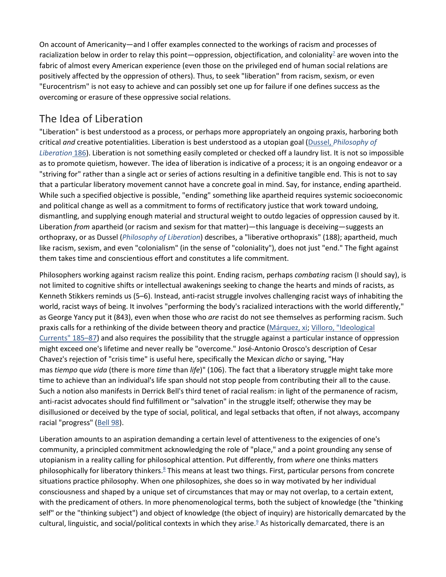On account of Americanity—and I offer examples connected to the workings of racism and processes of racialization below in order to relay this point—oppression, objectification, and coloniality<sup>7</sup> are woven into the fabric of almost every American experience (even those on the privileged end of human social relations are positively affected by the oppression of others). Thus, to seek "liberation" from racism, sexism, or even "Eurocentrism" is not easy to achieve and can possibly set one up for failure if one defines success as the overcoming or erasure of these oppressive social relations.

#### The Idea of Liberation

"Liberation" is best understood as a process, or perhaps more appropriately an ongoing praxis, harboring both critical *and* creative potentialities. Liberation is best understood as a utopian goal (Dussel, *[Philosophy of](https://muse.jhu.edu/article/696882#b7)  [Liberation](https://muse.jhu.edu/article/696882#b7)* 186). Liberation is not something easily completed or checked off a laundry list. It is not so impossible as to promote quietism, however. The idea of liberation is indicative of a process; it is an ongoing endeavor or a "striving for" rather than a single act or series of actions resulting in a definitive tangible end. This is not to say that a particular liberatory movement cannot have a concrete goal in mind. Say, for instance, ending apartheid. While such a specified objective is possible, "ending" something like apartheid requires systemic socioeconomic and political change as well as a commitment to forms of rectificatory justice that work toward undoing, dismantling, and supplying enough material and structural weight to outdo legacies of oppression caused by it. Liberation *from* apartheid (or racism and sexism for that matter)—this language is deceiving—suggests an orthopraxy, or as Dussel (*[Philosophy of Liberation](https://muse.jhu.edu/article/696882#b3)*) describes, a "liberative orthopraxis" (188); apartheid, much like racism, sexism, and even "colonialism" (in the sense of "coloniality"), does not just "end." The fight against them takes time and conscientious effort and constitutes a life commitment.

Philosophers working against racism realize this point. Ending racism, perhaps *combating* racism (I should say), is not limited to cognitive shifts or intellectual awakenings seeking to change the hearts and minds of racists, as Kenneth Stikkers reminds us (5–6). Instead, anti-racist struggle involves challenging racist ways of inhabiting the world, racist ways of being. It involves "performing the body's racialized interactions with the world differently," as George Yancy put it (843), even when those who *are* racist do not see themselves as performing racism. Such praxis calls for a rethinking of the divide between theory and practice [\(Márquez, xi;](https://muse.jhu.edu/article/696882#b31) [Villoro, "Ideological](https://muse.jhu.edu/article/696882#b50)  [Currents" 185–87\)](https://muse.jhu.edu/article/696882#b50) and also requires the possibility that the struggle against a particular instance of oppression might exceed one's lifetime and never really be "overcome." José-Antonio Orosco's description of Cesar Chavez's rejection of "crisis time" is useful here, specifically the Mexican *dicho* or saying, "Hay mas *tiempo* que *vida* (there is more *time* than *life*)" (106). The fact that a liberatory struggle might take more time to achieve than an individual's life span should not stop people from contributing their all to the cause. Such a notion also manifests in Derrick Bell's third tenet of racial realism: in light of the permanence of racism, anti-racist advocates should find fulfillment or "salvation" in the struggle itself; otherwise they may be disillusioned or deceived by the type of social, political, and legal setbacks that often, if not always, accompany racial "progress" [\(Bell 98\)](https://muse.jhu.edu/article/696882#b1).

Liberation amounts to an aspiration demanding a certain level of attentiveness to the exigencies of one's community, a principled commitment acknowledging the role of "place," and a point grounding any sense of utopianism in a reality calling for philosophical attention. Put differently, from *where* one thinks matters philosophically for liberatory thinkers.<sup>8</sup> This means at least two things. First, particular persons from concrete situations practice philosophy. When one philosophizes, she does so in way motivated by her individual consciousness and shaped by a unique set of circumstances that may or may not overlap, to a certain extent, with the predicament of others. In more phenomenological terms, both the subject of knowledge (the "thinking self" or the "thinking subject") and object of knowledge (the object of inquiry) are historically demarcated by the cultural, linguistic, and social/political contexts in which they arise.<sup>9</sup> As historically demarcated, there is an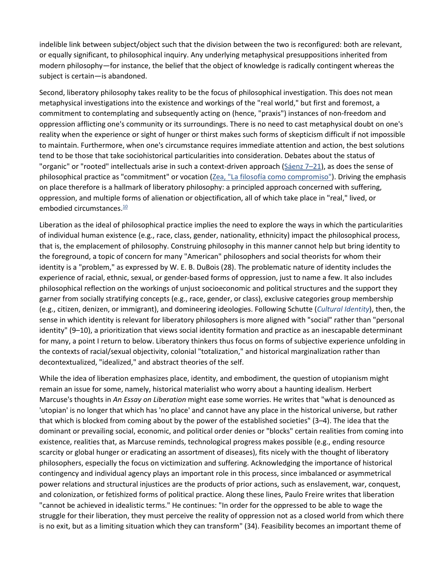indelible link between subject/object such that the division between the two is reconfigured: both are relevant, or equally significant, to philosophical inquiry. Any underlying metaphysical presuppositions inherited from modern philosophy—for instance, the belief that the object of knowledge is radically contingent whereas the subject is certain—is abandoned.

Second, liberatory philosophy takes reality to be the focus of philosophical investigation. This does not mean metaphysical investigations into the existence and workings of the "real world," but first and foremost, a commitment to contemplating and subsequently acting on (hence, "praxis") instances of non-freedom and oppression afflicting one's community or its surroundings. There is no need to cast metaphysical doubt on one's reality when the experience or sight of hunger or thirst makes such forms of skepticism difficult if not impossible to maintain. Furthermore, when one's circumstance requires immediate attention and action, the best solutions tend to be those that take sociohistorical particularities into consideration. Debates about the status of "organic" or "rooted" intellectuals arise in such a context-driven approach ( $Sáenz 7–21$ ), as does the sense of philosophical practice as "commitment" or vocation [\(Zea, "La filosofía como compromiso"\)](https://muse.jhu.edu/article/696882#b54). Driving the emphasis on place therefore is a hallmark of liberatory philosophy: a principled approach concerned with suffering, oppression, and multiple forms of alienation or objectification, all of which take place in "real," lived, or embodied circumstances. $10$ 

Liberation as the ideal of philosophical practice implies the need to explore the ways in which the particularities of individual human existence (e.g., race, class, gender, nationality, ethnicity) impact the philosophical process, that is, the emplacement of philosophy. Construing philosophy in this manner cannot help but bring identity to the foreground, a topic of concern for many "American" philosophers and social theorists for whom their identity is a "problem," as expressed by W. E. B. DuBois (28). The problematic nature of identity includes the experience of racial, ethnic, sexual, or gender-based forms of oppression, just to name a few. It also includes philosophical reflection on the workings of unjust socioeconomic and political structures and the support they garner from socially stratifying concepts (e.g., race, gender, or class), exclusive categories group membership (e.g., citizen, denizen, or immigrant), and domineering ideologies. Following Schutte (*[Cultural Identity](https://muse.jhu.edu/article/696882#b28)*), then, the sense in which identity is relevant for liberatory philosophers is more aligned with "social" rather than "personal identity" (9–10), a prioritization that views social identity formation and practice as an inescapable determinant for many, a point I return to below. Liberatory thinkers thus focus on forms of subjective experience unfolding in the contexts of racial/sexual objectivity, colonial "totalization," and historical marginalization rather than decontextualized, "idealized," and abstract theories of the self.

While the idea of liberation emphasizes place, identity, and embodiment, the question of utopianism might remain an issue for some, namely, historical materialist who worry about a haunting idealism. Herbert Marcuse's thoughts in *An Essay on Liberation* might ease some worries. He writes that "what is denounced as 'utopian' is no longer that which has 'no place' and cannot have any place in the historical universe, but rather that which is blocked from coming about by the power of the established societies" (3–4). The idea that the dominant or prevailing social, economic, and political order denies or "blocks" certain realities from coming into existence, realities that, as Marcuse reminds, technological progress makes possible (e.g., ending resource scarcity or global hunger or eradicating an assortment of diseases), fits nicely with the thought of liberatory philosophers, especially the focus on victimization and suffering. Acknowledging the importance of historical contingency and individual agency plays an important role in this process, since imbalanced or asymmetrical power relations and structural injustices are the products of prior actions, such as enslavement, war, conquest, and colonization, or fetishized forms of political practice. Along these lines, Paulo Freire writes that liberation "cannot be achieved in idealistic terms." He continues: "In order for the oppressed to be able to wage the struggle for their liberation, they must perceive the reality of oppression not as a closed world from which there is no exit, but as a limiting situation which they can transform" (34). Feasibility becomes an important theme of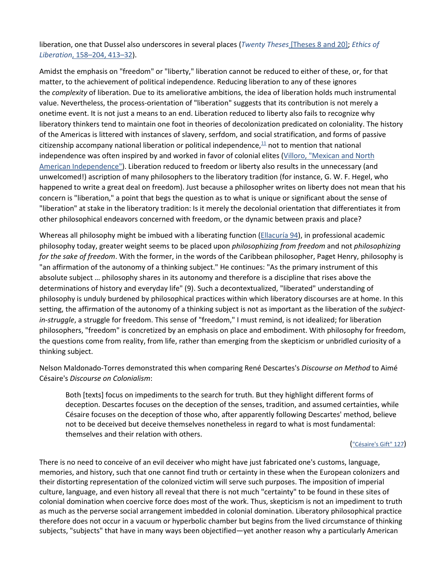liberation, one that Dussel also underscores in several places (*Twenty Theses* [\[Theses 8 and 20\];](https://muse.jhu.edu/article/696882#b13) *[Ethics of](https://muse.jhu.edu/article/696882#b7)  Liberation*[, 158–204, 413–32\)](https://muse.jhu.edu/article/696882#b7).

Amidst the emphasis on "freedom" or "liberty," liberation cannot be reduced to either of these, or, for that matter, to the achievement of political independence. Reducing liberation to any of these ignores the *complexity* of liberation. Due to its ameliorative ambitions, the idea of liberation holds much instrumental value. Nevertheless, the process-orientation of "liberation" suggests that its contribution is not merely a onetime event. It is not just a means to an end. Liberation reduced to liberty also fails to recognize why liberatory thinkers tend to maintain one foot in theories of decolonization predicated on coloniality. The history of the Americas is littered with instances of slavery, serfdom, and social stratification, and forms of passive citizenship accompany national liberation or political independence, $1/1$  not to mention that national independence was often inspired by and worked in favor of colonial elites [\(Villoro, "Mexican and North](https://muse.jhu.edu/article/696882#b50)  [American Independence"\)](https://muse.jhu.edu/article/696882#b50). Liberation reduced to freedom or liberty also results in the unnecessary (and unwelcomed!) ascription of many philosophers to the liberatory tradition (for instance, G. W. F. Hegel, who happened to write a great deal on freedom). Just because a philosopher writes on liberty does not mean that his concern is "liberation," a point that begs the question as to what is unique or significant about the sense of "liberation" at stake in the liberatory tradition: Is it merely the decolonial orientation that differentiates it from other philosophical endeavors concerned with freedom, or the dynamic between praxis and place?

Whereas all philosophy might be imbued with a liberating function [\(Ellacuría 94\)](https://muse.jhu.edu/article/696882#b14), in professional academic philosophy today, greater weight seems to be placed upon *philosophizing from freedom* and not *philosophizing for the sake of freedom*. With the former, in the words of the Caribbean philosopher, Paget Henry, philosophy is "an affirmation of the autonomy of a thinking subject." He continues: "As the primary instrument of this absolute subject … philosophy shares in its autonomy and therefore is a discipline that rises above the determinations of history and everyday life" (9). Such a decontextualized, "liberated" understanding of philosophy is unduly burdened by philosophical practices within which liberatory discourses are at home. In this setting, the affirmation of the autonomy of a thinking subject is not as important as the liberation of the *subjectin-struggle*, a struggle for freedom. This sense of "freedom," I must remind, is not idealized; for liberation philosophers, "freedom" is concretized by an emphasis on place and embodiment. With philosophy for freedom, the questions come from reality, from life, rather than emerging from the skepticism or unbridled curiosity of a thinking subject.

Nelson Maldonado-Torres demonstrated this when comparing René Descartes's *Discourse on Method* to Aimé Césaire's *Discourse on Colonialism*:

Both [texts] focus on impediments to the search for truth. But they highlight different forms of deception. Descartes focuses on the deception of the senses, tradition, and assumed certainties, while Césaire focuses on the deception of those who, after apparently following Descartes' method, believe not to be deceived but deceive themselves nonetheless in regard to what is most fundamental: themselves and their relation with others.

[\("Césaire's Gift" 127\)](https://muse.jhu.edu/article/696882#b2)

There is no need to conceive of an evil deceiver who might have just fabricated one's customs, language, memories, and history, such that one cannot find truth or certainty in these when the European colonizers and their distorting representation of the colonized victim will serve such purposes. The imposition of imperial culture, language, and even history all reveal that there is not much "certainty" to be found in these sites of colonial domination when coercive force does most of the work. Thus, skepticism is not an impediment to truth as much as the perverse social arrangement imbedded in colonial domination. Liberatory philosophical practice therefore does not occur in a vacuum or hyperbolic chamber but begins from the lived circumstance of thinking subjects, "subjects" that have in many ways been objectified—yet another reason why a particularly American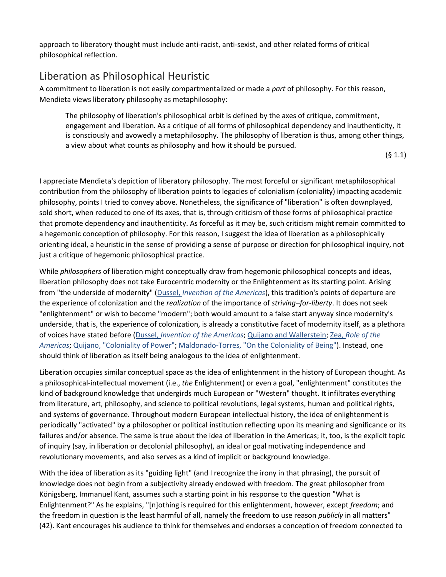approach to liberatory thought must include anti-racist, anti-sexist, and other related forms of critical philosophical reflection.

#### Liberation as Philosophical Heuristic

A commitment to liberation is not easily compartmentalized or made a *part* of philosophy. For this reason, Mendieta views liberatory philosophy as metaphilosophy:

The philosophy of liberation's philosophical orbit is defined by the axes of critique, commitment, engagement and liberation. As a critique of all forms of philosophical dependency and inauthenticity, it is consciously and avowedly a metaphilosophy. The philosophy of liberation is thus, among other things, a view about what counts as philosophy and how it should be pursued.

(§ 1.1)

I appreciate Mendieta's depiction of liberatory philosophy. The most forceful or significant metaphilosophical contribution from the philosophy of liberation points to legacies of colonialism (coloniality) impacting academic philosophy, points I tried to convey above. Nonetheless, the significance of "liberation" is often downplayed, sold short, when reduced to one of its axes, that is, through criticism of those forms of philosophical practice that promote dependency and inauthenticity. As forceful as it may be, such criticism might remain committed to a hegemonic conception of philosophy. For this reason, I suggest the idea of liberation as a philosophically orienting ideal, a heuristic in the sense of providing a sense of purpose or direction for philosophical inquiry, not just a critique of hegemonic philosophical practice.

While *philosophers* of liberation might conceptually draw from hegemonic philosophical concepts and ideas, liberation philosophy does not take Eurocentric modernity or the Enlightenment as its starting point. Arising from "the underside of modernity" (Dussel, *[Invention of the Americas](https://muse.jhu.edu/article/696882#b7)*), this tradition's points of departure are the experience of colonization and the *realization* of the importance of *striving–for-liberty*. It does not seek "enlightenment" or wish to become "modern"; both would amount to a false start anyway since modernity's underside, that is, the experience of colonization, is already a constitutive facet of modernity itself, as a plethora of voices have stated before (Dussel, *[Invention of the Americas](https://muse.jhu.edu/article/696882#b7)*; [Quijano and Wallerstein;](https://muse.jhu.edu/article/696882#b40) Zea, *[Role of the](https://muse.jhu.edu/article/696882#b54)  [Americas](https://muse.jhu.edu/article/696882#b54)*; [Quijano, "Coloniality of Power";](https://muse.jhu.edu/article/696882#b40) [Maldonado-Torres, "On the Coloniality of Being"\)](https://muse.jhu.edu/article/696882#b27). Instead, one should think of liberation as itself being analogous to the idea of enlightenment.

Liberation occupies similar conceptual space as the idea of enlightenment in the history of European thought. As a philosophical-intellectual movement (i.e., *the* Enlightenment) or even a goal, "enlightenment" constitutes the kind of background knowledge that undergirds much European or "Western" thought. It infiltrates everything from literature, art, philosophy, and science to political revolutions, legal systems, human and political rights, and systems of governance. Throughout modern European intellectual history, the idea of enlightenment is periodically "activated" by a philosopher or political institution reflecting upon its meaning and significance or its failures and/or absence. The same is true about the idea of liberation in the Americas; it, too, is the explicit topic of inquiry (say, in liberation or decolonial philosophy), an ideal or goal motivating independence and revolutionary movements, and also serves as a kind of implicit or background knowledge.

With the idea of liberation as its "guiding light" (and I recognize the irony in that phrasing), the pursuit of knowledge does not begin from a subjectivity already endowed with freedom. The great philosopher from Königsberg, Immanuel Kant, assumes such a starting point in his response to the question "What is Enlightenment?" As he explains, "[n]othing is required for this enlightenment, however, except *freedom*; and the freedom in question is the least harmful of all, namely the freedom to use reason *publicly* in all matters" (42). Kant encourages his audience to think for themselves and endorses a conception of freedom connected to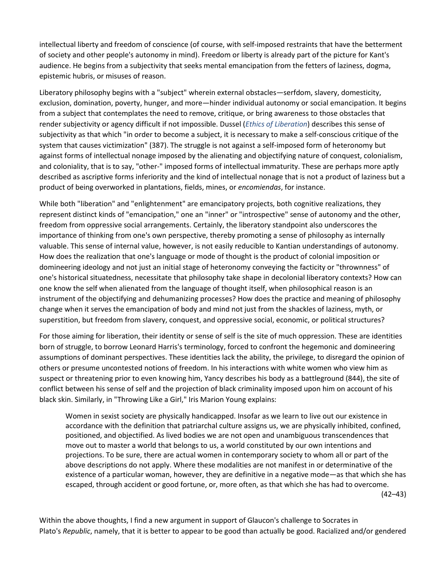intellectual liberty and freedom of conscience (of course, with self-imposed restraints that have the betterment of society and other people's autonomy in mind). Freedom or liberty is already part of the picture for Kant's audience. He begins from a subjectivity that seeks mental emancipation from the fetters of laziness, dogma, epistemic hubris, or misuses of reason.

Liberatory philosophy begins with a "subject" wherein external obstacles—serfdom, slavery, domesticity, exclusion, domination, poverty, hunger, and more—hinder individual autonomy or social emancipation. It begins from a subject that contemplates the need to remove, critique, or bring awareness to those obstacles that render subjectivity or agency difficult if not impossible. Dussel (*[Ethics of Liberation](https://muse.jhu.edu/article/696882#b7)*) describes this sense of subjectivity as that which "in order to become a subject, it is necessary to make a self-conscious critique of the system that causes victimization" (387). The struggle is not against a self-imposed form of heteronomy but against forms of intellectual nonage imposed by the alienating and objectifying nature of conquest, colonialism, and coloniality, that is to say, "other-" imposed forms of intellectual immaturity. These are perhaps more aptly described as ascriptive forms inferiority and the kind of intellectual nonage that is not a product of laziness but a product of being overworked in plantations, fields, mines, or *encomiendas*, for instance.

While both "liberation" and "enlightenment" are emancipatory projects, both cognitive realizations, they represent distinct kinds of "emancipation," one an "inner" or "introspective" sense of autonomy and the other, freedom from oppressive social arrangements. Certainly, the liberatory standpoint also underscores the importance of thinking from one's own perspective, thereby promoting a sense of philosophy as internally valuable. This sense of internal value, however, is not easily reducible to Kantian understandings of autonomy. How does the realization that one's language or mode of thought is the product of colonial imposition or domineering ideology and not just an initial stage of heteronomy conveying the facticity or "thrownness" of one's historical situatedness, necessitate that philosophy take shape in decolonial liberatory contexts? How can one know the self when alienated from the language of thought itself, when philosophical reason is an instrument of the objectifying and dehumanizing processes? How does the practice and meaning of philosophy change when it serves the emancipation of body and mind not just from the shackles of laziness, myth, or superstition, but freedom from slavery, conquest, and oppressive social, economic, or political structures?

For those aiming for liberation, their identity or sense of self is the site of much oppression. These are identities born of struggle, to borrow Leonard Harris's terminology, forced to confront the hegemonic and domineering assumptions of dominant perspectives. These identities lack the ability, the privilege, to disregard the opinion of others or presume uncontested notions of freedom. In his interactions with white women who view him as suspect or threatening prior to even knowing him, Yancy describes his body as a battleground (844), the site of conflict between his sense of self and the projection of black criminality imposed upon him on account of his black skin. Similarly, in "Throwing Like a Girl," Iris Marion Young explains:

Women in sexist society are physically handicapped. Insofar as we learn to live out our existence in accordance with the definition that patriarchal culture assigns us, we are physically inhibited, confined, positioned, and objectified. As lived bodies we are not open and unambiguous transcendences that move out to master a world that belongs to us, a world constituted by our own intentions and projections. To be sure, there are actual women in contemporary society to whom all or part of the above descriptions do not apply. Where these modalities are not manifest in or determinative of the existence of a particular woman, however, they are definitive in a negative mode—as that which she has escaped, through accident or good fortune, or, more often, as that which she has had to overcome.  $(42-43)$ 

Within the above thoughts, I find a new argument in support of Glaucon's challenge to Socrates in Plato's *Republic*, namely, that it is better to appear to be good than actually be good. Racialized and/or gendered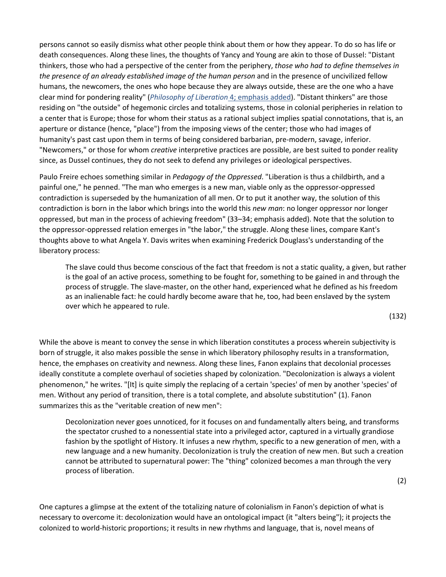persons cannot so easily dismiss what other people think about them or how they appear. To do so has life or death consequences. Along these lines, the thoughts of Yancy and Young are akin to those of Dussel: "Distant thinkers, those who had a perspective of the center from the periphery, *those who had to define themselves in the presence of an already established image of the human person* and in the presence of uncivilized fellow humans, the newcomers, the ones who hope because they are always outside, these are the one who a have clear mind for pondering reality" (*[Philosophy of Liberation](https://muse.jhu.edu/article/696882#b3)* 4; emphasis added). "Distant thinkers" are those residing on "the outside" of hegemonic circles and totalizing systems, those in colonial peripheries in relation to a center that is Europe; those for whom their status as a rational subject implies spatial connotations, that is, an aperture or distance (hence, "place") from the imposing views of the center; those who had images of humanity's past cast upon them in terms of being considered barbarian, pre-modern, savage, inferior. "Newcomers," or those for whom *creative* interpretive practices are possible, are best suited to ponder reality since, as Dussel continues, they do not seek to defend any privileges or ideological perspectives.

Paulo Freire echoes something similar in *Pedagogy of the Oppressed*. "Liberation is thus a childbirth, and a painful one," he penned. "The man who emerges is a new man, viable only as the oppressor-oppressed contradiction is superseded by the humanization of all men. Or to put it another way, the solution of this contradiction is born in the labor which brings into the world this *new man*: no longer oppressor nor longer oppressed, but man in the process of achieving freedom" (33–34; emphasis added). Note that the solution to the oppressor-oppressed relation emerges in "the labor," the struggle. Along these lines, compare Kant's thoughts above to what Angela Y. Davis writes when examining Frederick Douglass's understanding of the liberatory process:

The slave could thus become conscious of the fact that freedom is not a static quality, a given, but rather is the goal of an active process, something to be fought for, something to be gained in and through the process of struggle. The slave-master, on the other hand, experienced what he defined as his freedom as an inalienable fact: he could hardly become aware that he, too, had been enslaved by the system over which he appeared to rule.

(132)

While the above is meant to convey the sense in which liberation constitutes a process wherein subjectivity is born of struggle, it also makes possible the sense in which liberatory philosophy results in a transformation, hence, the emphases on creativity and newness. Along these lines, Fanon explains that decolonial processes ideally constitute a complete overhaul of societies shaped by colonization. "Decolonization is always a violent phenomenon," he writes. "[It] is quite simply the replacing of a certain 'species' of men by another 'species' of men. Without any period of transition, there is a total complete, and absolute substitution" (1). Fanon summarizes this as the "veritable creation of new men":

Decolonization never goes unnoticed, for it focuses on and fundamentally alters being, and transforms the spectator crushed to a nonessential state into a privileged actor, captured in a virtually grandiose fashion by the spotlight of History. It infuses a new rhythm, specific to a new generation of men, with a new language and a new humanity. Decolonization is truly the creation of new men. But such a creation cannot be attributed to supernatural power: The "thing" colonized becomes a man through the very process of liberation.

(2)

One captures a glimpse at the extent of the totalizing nature of colonialism in Fanon's depiction of what is necessary to overcome it: decolonization would have an ontological impact (it "alters being"); it projects the colonized to world-historic proportions; it results in new rhythms and language, that is, novel means of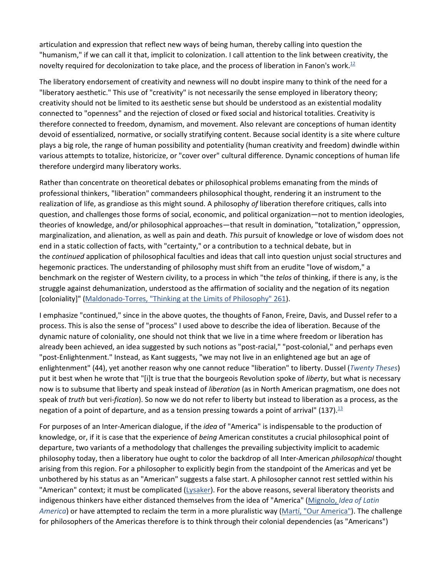articulation and expression that reflect new ways of being human, thereby calling into question the "humanism," if we can call it that, implicit to colonization. I call attention to the link between creativity, the novelty required for decolonization to take place, and the process of liberation in Fanon's work.<sup>12</sup>

The liberatory endorsement of creativity and newness will no doubt inspire many to think of the need for a "liberatory aesthetic." This use of "creativity" is not necessarily the sense employed in liberatory theory; creativity should not be limited to its aesthetic sense but should be understood as an existential modality connected to "openness" and the rejection of closed or fixed social and historical totalities. Creativity is therefore connected to freedom, dynamism, and movement. Also relevant are conceptions of human identity devoid of essentialized, normative, or socially stratifying content. Because social identity is a site where culture plays a big role, the range of human possibility and potentiality (human creativity and freedom) dwindle within various attempts to totalize, historicize, or "cover over" cultural difference. Dynamic conceptions of human life therefore undergird many liberatory works.

Rather than concentrate on theoretical debates or philosophical problems emanating from the minds of professional thinkers, "liberation" commandeers philosophical thought, rendering it an instrument to the realization of life, as grandiose as this might sound. A philosophy *of* liberation therefore critiques, calls into question, and challenges those forms of social, economic, and political organization—not to mention ideologies, theories of knowledge, and/or philosophical approaches—that result in domination, "totalization," oppression, marginalization, and alienation, as well as pain and death. *This* pursuit of knowledge or love of wisdom does not end in a static collection of facts, with "certainty," or a contribution to a technical debate, but in the *continued* application of philosophical faculties and ideas that call into question unjust social structures and hegemonic practices. The understanding of philosophy must shift from an erudite "love of wisdom," a benchmark on the register of Western civility, to a process in which "the *telos* of thinking, if there is any, is the struggle against dehumanization, understood as the affirmation of sociality and the negation of its negation [coloniality]" [\(Maldonado-Torres, "Thinking at the Limits of Philosophy" 261\)](https://muse.jhu.edu/article/696882#b27).

I emphasize "continued," since in the above quotes, the thoughts of Fanon, Freire, Davis, and Dussel refer to a process. This is also the sense of "process" I used above to describe the idea of liberation. Because of the dynamic nature of coloniality, one should not think that we live in a time where freedom or liberation has already been achieved, an idea suggested by such notions as "post-racial," "post-colonial," and perhaps even "post-Enlightenment." Instead, as Kant suggests, "we may not live in an enlightened age but an age of enlightenment" (44), yet another reason why one cannot reduce "liberation" to liberty. Dussel (*[Twenty Theses](https://muse.jhu.edu/article/696882#b13)*) put it best when he wrote that "[i]t is true that the bourgeois Revolution spoke of *liberty*, but what is necessary now is to subsume that liberty and speak instead of *liberation* (as in North American pragmatism, one does not speak of *truth* but veri-*fication*). So now we do not refer to liberty but instead to liberation as a process, as the negation of a point of departure, and as a tension pressing towards a point of arrival" (137).  $^{13}$ 

For purposes of an Inter-American dialogue, if the *idea* of "America" is indispensable to the production of knowledge, or, if it is case that the experience of *being* American constitutes a crucial philosophical point of departure, two variants of a methodology that challenges the prevailing subjectivity implicit to academic philosophy today, then a liberatory hue ought to color the backdrop of all Inter-American *philosophical* thought arising from this region. For a philosopher to explicitly begin from the standpoint of the Americas and yet be unbothered by his status as an "American" suggests a false start. A philosopher cannot rest settled within his "American" context; it must be complicated [\(Lysaker\)](https://muse.jhu.edu/article/696882#b26). For the above reasons, several liberatory theorists and indigenous thinkers have either distanced themselves from the idea of "America" (Mignolo, *[Idea of Latin](https://muse.jhu.edu/article/696882#b36)  [America](https://muse.jhu.edu/article/696882#b36)*) or have attempted to reclaim the term in a more pluralistic way [\(Martí, "Our America"\)](https://muse.jhu.edu/article/696882#b33). The challenge for philosophers of the Americas therefore is to think through their colonial dependencies (as "Americans")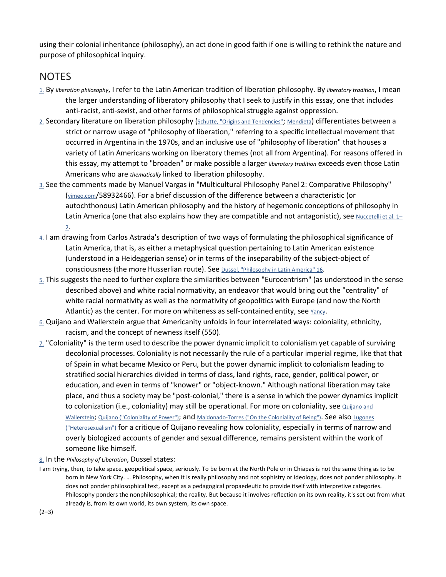using their colonial inheritance (philosophy), an act done in good faith if one is willing to rethink the nature and purpose of philosophical inquiry.

#### NOTES

- [1.](https://muse.jhu.edu/article/696882#f1-text) By *liberation philosophy*, I refer to the Latin American tradition of liberation philosophy. By *liberatory tradition*, I mean the larger understanding of liberatory philosophy that I seek to justify in this essay, one that includes anti-racist, anti-sexist, and other forms of philosophical struggle against oppression.
- [2.](https://muse.jhu.edu/article/696882#f2-text) Secondary literature on liberation philosophy [\(Schutte, "Origins and Tendencies";](https://muse.jhu.edu/article/696882#b45) [Mendieta\)](https://muse.jhu.edu/article/696882#b7) differentiates between a strict or narrow usage of "philosophy of liberation," referring to a specific intellectual movement that occurred in Argentina in the 1970s, and an inclusive use of "philosophy of liberation" that houses a variety of Latin Americans working on liberatory themes (not all from Argentina). For reasons offered in this essay, my attempt to "broaden" or make possible a larger *liberatory tradition* exceeds even those Latin Americans who are *thematically* linked to liberation philosophy.
- [3.](https://muse.jhu.edu/article/696882#f3-text) See the comments made by Manuel Vargas in "Multicultural Philosophy Panel 2: Comparative Philosophy" [\(vimeo.com/](http://vimeo.com/)58932466). For a brief discussion of the difference between a characteristic (or autochthonous) Latin American philosophy and the history of hegemonic conceptions of philosophy in Latin America (one that also explains how they are compatible and not antagonistic), see Nuccetelli et al. 1-[2.](https://muse.jhu.edu/article/696882#b19)
- [4.](https://muse.jhu.edu/article/696882#f4-text) I am drawing from Carlos Astrada's description of two ways of formulating the philosophical significance of Latin America, that is, as either a metaphysical question pertaining to Latin American existence (understood in a Heideggerian sense) or in terms of the inseparability of the subject-object of consciousness (the more Husserlian route). See [Dussel, "Philosophy in Latin America" 16.](https://muse.jhu.edu/article/696882#b7)
- [5.](https://muse.jhu.edu/article/696882#f5-text) This suggests the need to further explore the similarities between "Eurocentrism" (as understood in the sense described above) and white racial normativity, an endeavor that would bring out the "centrality" of white racial normativity as well as the normativity of geopolitics with Europe (and now the North Atlantic) as the center. For more on whiteness as self-contained entity, see [Yancy.](https://muse.jhu.edu/article/696882#b29)
- [6.](https://muse.jhu.edu/article/696882#f6-text) Quijano and Wallerstein argue that Americanity unfolds in four interrelated ways: coloniality, ethnicity, racism, and the concept of newness itself (550).
- $Z<sub>1</sub>$  "Coloniality" is the term used to describe the power dynamic implicit to colonialism yet capable of surviving decolonial processes. Coloniality is not necessarily the rule of a particular imperial regime, like that that of Spain in what became Mexico or Peru, but the power dynamic implicit to colonialism leading to stratified social hierarchies divided in terms of class, land rights, race, gender, political power, or education, and even in terms of "knower" or "object-known." Although national liberation may take place, and thus a society may be "post-colonial," there is a sense in which the power dynamics implicit to colonization (i.e., coloniality) may still be operational. For more on coloniality, see Quijano and [Wallerstein;](https://muse.jhu.edu/article/696882#b40) [Quijano \("Coloniality of Power"\);](https://muse.jhu.edu/article/696882#b40) and [Maldonado-Torres \("On the Coloniality of Being"\).](https://muse.jhu.edu/article/696882#b27) See also Lugones [\("Heterosexualism"\)](https://muse.jhu.edu/article/696882#b24) for a critique of Quijano revealing how coloniality, especially in terms of narrow and overly biologized accounts of gender and sexual difference, remains persistent within the work of someone like himself.

#### [8.](https://muse.jhu.edu/article/696882#f8-text) In the *Philosophy of Liberation*, Dussel states:

I am trying, then, to take space, geopolitical space, seriously. To be born at the North Pole or in Chiapas is not the same thing as to be born in New York City. … Philosophy, when it is really philosophy and not sophistry or ideology, does not ponder philosophy. It does not ponder philosophical text, except as a pedagogical propaedeutic to provide itself with interpretive categories. Philosophy ponders the nonphilosophical; the reality. But because it involves reflection on its own reality, it's set out from what already is, from its own world, its own system, its own space.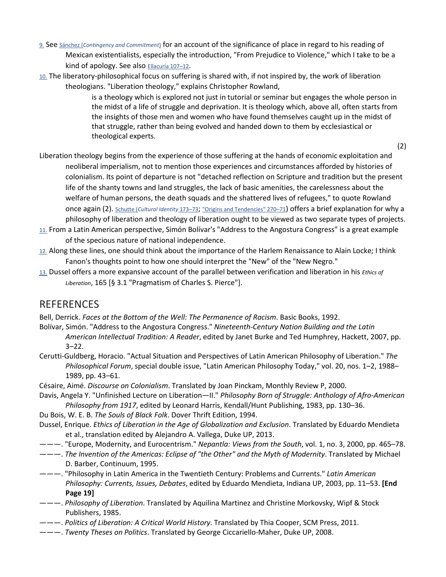- [9.](https://muse.jhu.edu/article/696882#f9-text) See Sánchez (*[Contingency and Commitment](https://muse.jhu.edu/article/696882#b44)*) for an account of the significance of place in regard to his reading of Mexican existentialists, especially the introduction, "From Prejudice to Violence," which I take to be a kind of apology. See also **Ellacuría 107-12**.
- [10.](https://muse.jhu.edu/article/696882#f10-text) The liberatory-philosophical focus on suffering is shared with, if not inspired by, the work of liberation theologians. "Liberation theology," explains Christopher Rowland,

is a theology which is explored not just in tutorial or seminar but engages the whole person in the midst of a life of struggle and deprivation. It is theology which, above all, often starts from the insights of those men and women who have found themselves caught up in the midst of that struggle, rather than being evolved and handed down to them by ecclesiastical or theological experts.

(2)

- Liberation theology begins from the experience of those suffering at the hands of economic exploitation and neoliberal imperialism, not to mention those experiences and circumstances afforded by histories of colonialism. Its point of departure is not "detached reflection on Scripture and tradition but the present life of the shanty towns and land struggles, the lack of basic amenities, the carelessness about the welfare of human persons, the death squads and the shattered lives of refugees," to quote Rowland once again (2). Schutte (*[Cultural Identity](https://muse.jhu.edu/article/696882#b45)* 173–73; ["Origins and Tendencies" 270–71\)](https://muse.jhu.edu/article/696882#b47) offers a brief explanation for why a philosophy of liberation and theology of liberation ought to be viewed as two separate types of projects.
- [11.](https://muse.jhu.edu/article/696882#f11-text) From a Latin American perspective, Simón Bolívar's "Address to the Angostura Congress" is a great example of the specious nature of national independence.
- [12.](https://muse.jhu.edu/article/696882#f12-text) Along these lines, one should think about the importance of the Harlem Renaissance to Alain Locke; I think Fanon's thoughts point to how one should interpret the "New" of the "New Negro."
- [13.](https://muse.jhu.edu/article/696882#f13-text) Dussel offers a more expansive account of the parallel between verification and liberation in his *Ethics of Liberation*, 165 [§ 3.1 "Pragmatism of Charles S. Pierce"].

#### REFERENCES

Bell, Derrick. *Faces at the Bottom of the Well: The Permanence of Racism*. Basic Books, 1992.

Bolívar, Simón. "Address to the Angostura Congress." *Nineteenth-Century Nation Building and the Latin* 

*American Intellectual Tradition: A Reader*, edited by Janet Burke and Ted Humphrey, Hackett, 2007, pp. 3–22.

- Cerutti-Guldberg, Horacio. "Actual Situation and Perspectives of Latin American Philosophy of Liberation." *The Philosophical Forum*, special double issue, "Latin American Philosophy Today," vol. 20, nos. 1–2, 1988– 1989, pp. 43–61.
- Césaire, Aimé. *Discourse on Colonialism*. Translated by Joan Pinckam, Monthly Review P, 2000.

Davis, Angela Y. "Unfinished Lecture on Liberation—II." *Philosophy Born of Struggle: Anthology of Afro-American Philosophy from 1917*, edited by Leonard Harris, Kendall/Hunt Publishing, 1983, pp. 130–36.

- Du Bois, W. E. B. *The Souls of Black Folk*. Dover Thrift Edition, 1994.
- Dussel, Enrique. *Ethics of Liberation in the Age of Globalization and Exclusion*. Translated by Eduardo Mendieta et al., translation edited by Alejandro A. Vallega, Duke UP, 2013.
- ———. "Europe, Modernity, and Eurocentrism." *Nepantla: Views from the South*, vol. 1, no. 3, 2000, pp. 465–78.
- ———. *The Invention of the Americas: Eclipse of "the Other" and the Myth of Modernity*. Translated by Michael D. Barber, Continuum, 1995.
- ———. "Philosophy in Latin America in the Twentieth Century: Problems and Currents." *Latin American Philosophy: Currents, Issues, Debates*, edited by Eduardo Mendieta, Indiana UP, 2003, pp. 11–53. **[End Page 19]**
- ———. *Philosophy of Liberation*. Translated by Aquilina Martinez and Christine Morkovsky, Wipf & Stock Publishers, 1985.
- ———. *Politics of Liberation: A Critical World History*. Translated by Thia Cooper, SCM Press, 2011.
- ———. *Twenty Theses on Politics*. Translated by George Ciccariello-Maher, Duke UP, 2008.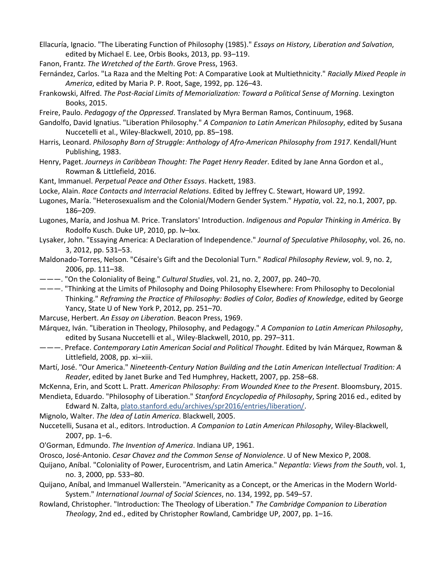Ellacuría, Ignacio. "The Liberating Function of Philosophy (1985)." *Essays on History, Liberation and Salvation*, edited by Michael E. Lee, Orbis Books, 2013, pp. 93–119.

- Fanon, Frantz. *The Wretched of the Earth*. Grove Press, 1963.
- Fernández, Carlos. "La Raza and the Melting Pot: A Comparative Look at Multiethnicity." *Racially Mixed People in America*, edited by Maria P. P. Root, Sage, 1992, pp. 126–43.
- Frankowski, Alfred. *The Post-Racial Limits of Memorialization: Toward a Political Sense of Morning*. Lexington Books, 2015.
- Freire, Paulo. *Pedagogy of the Oppressed*. Translated by Myra Berman Ramos, Continuum, 1968.
- Gandolfo, David Ignatius. "Liberation Philosophy." *A Companion to Latin American Philosophy*, edited by Susana Nuccetelli et al., Wiley-Blackwell, 2010, pp. 85–198.
- Harris, Leonard. *Philosophy Born of Struggle: Anthology of Afro-American Philosophy from 1917*. Kendall/Hunt Publishing, 1983.
- Henry, Paget. *Journeys in Caribbean Thought: The Paget Henry Reader*. Edited by Jane Anna Gordon et al., Rowman & Littlefield, 2016.
- Kant, Immanuel. *Perpetual Peace and Other Essays*. Hackett, 1983.
- Locke, Alain. *Race Contacts and Interracial Relations*. Edited by Jeffrey C. Stewart, Howard UP, 1992.
- Lugones, María. "Heterosexualism and the Colonial/Modern Gender System." *Hypatia*, vol. 22, no.1, 2007, pp. 186–209.
- Lugones, María, and Joshua M. Price. Translators' Introduction. *Indigenous and Popular Thinking in América*. By Rodolfo Kusch. Duke UP, 2010, pp. lv–lxx.
- Lysaker, John. "Essaying America: A Declaration of Independence." *Journal of Speculative Philosophy*, vol. 26, no. 3, 2012, pp. 531–53.
- Maldonado-Torres, Nelson. "Césaire's Gift and the Decolonial Turn." *Radical Philosophy Review*, vol. 9, no. 2, 2006, pp. 111–38.
- ———. "On the Coloniality of Being." *Cultural Studies*, vol. 21, no. 2, 2007, pp. 240–70.
- ———. "Thinking at the Limits of Philosophy and Doing Philosophy Elsewhere: From Philosophy to Decolonial Thinking." *Reframing the Practice of Philosophy: Bodies of Color, Bodies of Knowledge*, edited by George Yancy, State U of New York P, 2012, pp. 251–70.
- Marcuse, Herbert. *An Essay on Liberation*. Beacon Press, 1969.
- Márquez, Iván. "Liberation in Theology, Philosophy, and Pedagogy." *A Companion to Latin American Philosophy*, edited by Susana Nuccetelli et al., Wiley-Blackwell, 2010, pp. 297–311.
- ———. Preface. *Contemporary Latin American Social and Political Thought*. Edited by Iván Márquez, Rowman & Littlefield, 2008, pp. xi–xiii.
- Martí, José. "Our America." *Nineteenth-Century Nation Building and the Latin American Intellectual Tradition: A Reader*, edited by Janet Burke and Ted Humphrey, Hackett, 2007, pp. 258–68.

McKenna, Erin, and Scott L. Pratt. *American Philosophy: From Wounded Knee to the Present*. Bloomsbury, 2015.

Mendieta, Eduardo. "Philosophy of Liberation." *Stanford Encyclopedia of Philosophy*, Spring 2016 ed., edited by Edward N. Zalta, [plato.stanford.edu/archives/spr2016/entries/liberation/.](http://plato.stanford.edu/archives/spr2016/entries/liberation/)

Mignolo, Walter. *The Idea of Latin America*. Blackwell, 2005.

Nuccetelli, Susana et al., editors. Introduction. *A Companion to Latin American Philosophy*, Wiley-Blackwell, 2007, pp. 1–6.

- O'Gorman, Edmundo. *The Invention of America*. Indiana UP, 1961.
- Orosco, José-Antonio. *Cesar Chavez and the Common Sense of Nonviolence*. U of New Mexico P, 2008.
- Quijano, Aníbal. "Coloniality of Power, Eurocentrism, and Latin America." *Nepantla: Views from the South*, vol. 1, no. 3, 2000, pp. 533–80.
- Quijano, Aníbal, and Immanuel Wallerstein. "Americanity as a Concept, or the Americas in the Modern World-System." *International Journal of Social Sciences*, no. 134, 1992, pp. 549–57.
- Rowland, Christopher. "Introduction: The Theology of Liberation." *The Cambridge Companion to Liberation Theology*, 2nd ed., edited by Christopher Rowland, Cambridge UP, 2007, pp. 1–16.